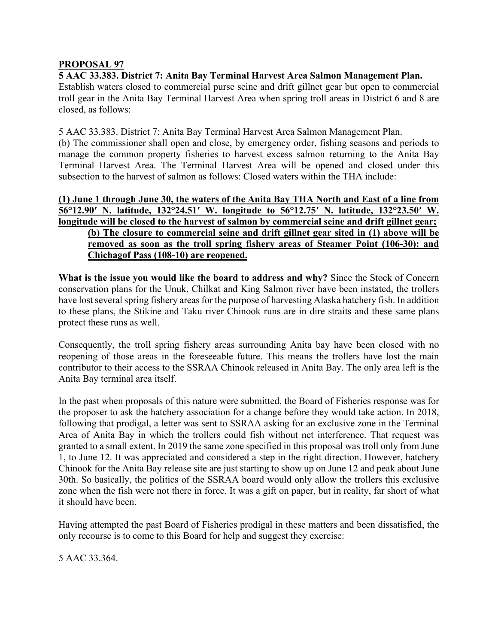## **PROPOSAL 97**

**5 AAC 33.383. District 7: Anita Bay Terminal Harvest Area Salmon Management Plan.** Establish waters closed to commercial purse seine and drift gillnet gear but open to commercial troll gear in the Anita Bay Terminal Harvest Area when spring troll areas in District 6 and 8 are closed, as follows:

5 AAC 33.383. District 7: Anita Bay Terminal Harvest Area Salmon Management Plan.

(b) The commissioner shall open and close, by emergency order, fishing seasons and periods to manage the common property fisheries to harvest excess salmon returning to the Anita Bay Terminal Harvest Area. The Terminal Harvest Area will be opened and closed under this subsection to the harvest of salmon as follows: Closed waters within the THA include:

## **(1) June 1 through June 30, the waters of the Anita Bay THA North and East of a line from 56°12.90′ N. latitude, 132°24.51′ W. longitude to 56°12.75′ N. latitude, 132°23.50′ W. longitude will be closed to the harvest of salmon by commercial seine and drift gillnet gear; (b) The closure to commercial seine and drift gillnet gear sited in (1) above will be removed as soon as the troll spring fishery areas of Steamer Point (106-30): and Chichagof Pass (108-10) are reopened.**

**What is the issue you would like the board to address and why?** Since the Stock of Concern conservation plans for the Unuk, Chilkat and King Salmon river have been instated, the trollers have lost several spring fishery areas for the purpose of harvesting Alaska hatchery fish. In addition to these plans, the Stikine and Taku river Chinook runs are in dire straits and these same plans protect these runs as well.

Consequently, the troll spring fishery areas surrounding Anita bay have been closed with no reopening of those areas in the foreseeable future. This means the trollers have lost the main contributor to their access to the SSRAA Chinook released in Anita Bay. The only area left is the Anita Bay terminal area itself.

In the past when proposals of this nature were submitted, the Board of Fisheries response was for the proposer to ask the hatchery association for a change before they would take action. In 2018, following that prodigal, a letter was sent to SSRAA asking for an exclusive zone in the Terminal Area of Anita Bay in which the trollers could fish without net interference. That request was granted to a small extent. In 2019 the same zone specified in this proposal was troll only from June 1, to June 12. It was appreciated and considered a step in the right direction. However, hatchery Chinook for the Anita Bay release site are just starting to show up on June 12 and peak about June 30th. So basically, the politics of the SSRAA board would only allow the trollers this exclusive zone when the fish were not there in force. It was a gift on paper, but in reality, far short of what it should have been.

Having attempted the past Board of Fisheries prodigal in these matters and been dissatisfied, the only recourse is to come to this Board for help and suggest they exercise:

5 AAC 33.364.